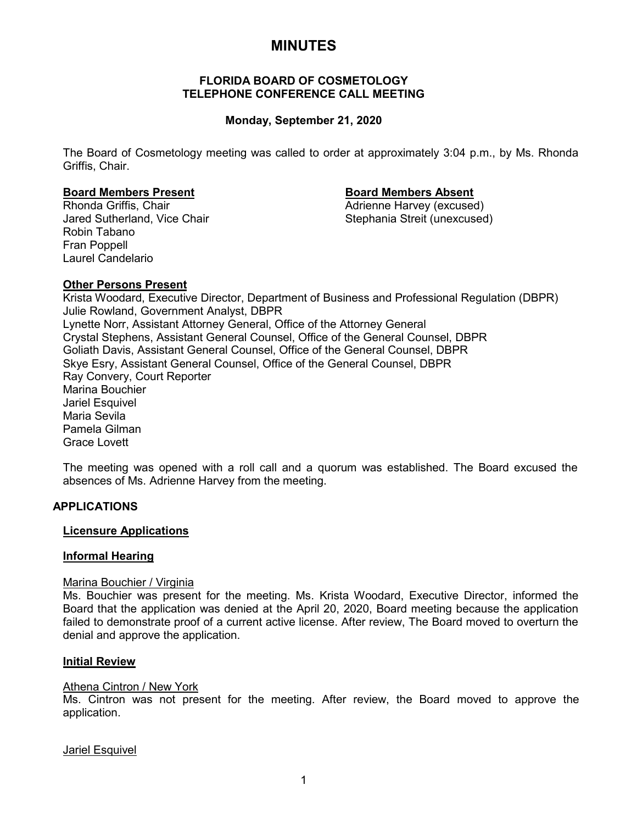# **MINUTES**

#### **FLORIDA BOARD OF COSMETOLOGY TELEPHONE CONFERENCE CALL MEETING**

### **Monday, September 21, 2020**

The Board of Cosmetology meeting was called to order at approximately 3:04 p.m., by Ms. Rhonda Griffis, Chair.

# **Board Members Present Board Members Absent**

Jared Sutherland, Vice Chair Robin Tabano Fran Poppell Laurel Candelario

Adrienne Harvey (excused)<br>Stephania Streit (unexcused)

#### **Other Persons Present**

Krista Woodard, Executive Director, Department of Business and Professional Regulation (DBPR) Julie Rowland, Government Analyst, DBPR Lynette Norr, Assistant Attorney General, Office of the Attorney General Crystal Stephens, Assistant General Counsel, Office of the General Counsel, DBPR Goliath Davis, Assistant General Counsel, Office of the General Counsel, DBPR Skye Esry, Assistant General Counsel, Office of the General Counsel, DBPR Ray Convery, Court Reporter Marina Bouchier Jariel Esquivel Maria Sevila Pamela Gilman Grace Lovett

The meeting was opened with a roll call and a quorum was established. The Board excused the absences of Ms. Adrienne Harvey from the meeting.

### **APPLICATIONS**

#### **Licensure Applications**

#### **Informal Hearing**

#### Marina Bouchier / Virginia

Ms. Bouchier was present for the meeting. Ms. Krista Woodard, Executive Director, informed the Board that the application was denied at the April 20, 2020, Board meeting because the application failed to demonstrate proof of a current active license. After review, The Board moved to overturn the denial and approve the application.

#### **Initial Review**

#### Athena Cintron / New York

Ms. Cintron was not present for the meeting. After review, the Board moved to approve the application.

#### Jariel Esquivel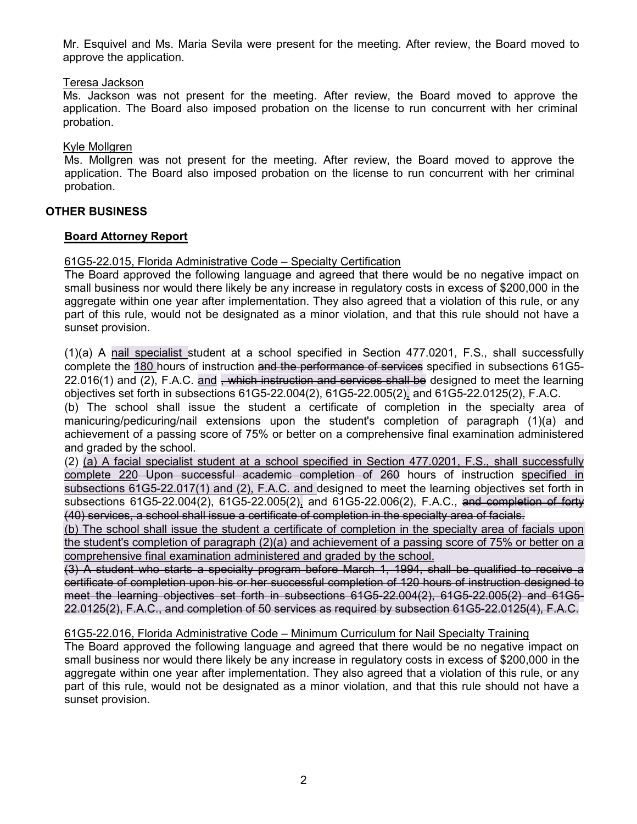Mr. Esquivel and Ms. Maria Sevila were present for the meeting. After review, the Board moved to approve the application.

#### Teresa Jackson

Ms. Jackson was not present for the meeting. After review, the Board moved to approve the application. The Board also imposed probation on the license to run concurrent with her criminal probation.

#### Kyle Mollgren

Ms. Mollgren was not present for the meeting. After review, the Board moved to approve the application. The Board also imposed probation on the license to run concurrent with her criminal probation.

#### **OTHER BUSINESS**

#### **Board Attorney Report**

#### 61G5-22.015, Florida Administrative Code – Specialty Certification

The Board approved the following language and agreed that there would be no negative impact on small business nor would there likely be any increase in regulatory costs in excess of \$200,000 in the aggregate within one year after implementation. They also agreed that a violation of this rule, or any part of this rule, would not be designated as a minor violation, and that this rule should not have a sunset provision.

(1)(a) A nail specialist student at a school specified in Section 477.0201, F.S., shall successfully complete the 180 hours of instruction and the performance of services specified in subsections 61G5-22.016(1) and (2), F.A.C. and <del>, which instruction and services shall be</del> designed to meet the learning objectives set forth in subsections 61G5-22.004(2), 61G5-22.005(2), and 61G5-22.0125(2), F.A.C.

(b) The school shall issue the student a certificate of completion in the specialty area of manicuring/pedicuring/nail extensions upon the student's completion of paragraph (1)(a) and achievement of a passing score of 75% or better on a comprehensive final examination administered and graded by the school.

(2) (a) A facial specialist student at a school specified in Section 477.0201, F.S., shall successfully complete 220 Upon successful academic completion of 260 hours of instruction specified in subsections 61G5-22.017(1) and (2), F.A.C. and designed to meet the learning objectives set forth in subsections 61G5-22.004(2), 61G5-22.005(2), and 61G5-22.006(2), F.A.C., and completion of forty (40) services, a school shall issue a certificate of completion in the specialty area of facials.

(b) The school shall issue the student a certificate of completion in the specialty area of facials upon the student's completion of paragraph (2)(a) and achievement of a passing score of 75% or better on a comprehensive final examination administered and graded by the school.

(3) A student who starts a specialty program before March 1, 1994, shall be qualified to receive a certificate of completion upon his or her successful completion of 120 hours of instruction designed to meet the learning objectives set forth in subsections 61G5-22.004(2), 61G5-22.005(2) and 61G5- 22.0125(2), F.A.C., and completion of 50 services as required by subsection 61G5-22.0125(4), F.A.C.

#### 61G5-22.016, Florida Administrative Code – Minimum Curriculum for Nail Specialty Training

The Board approved the following language and agreed that there would be no negative impact on small business nor would there likely be any increase in regulatory costs in excess of \$200,000 in the aggregate within one year after implementation. They also agreed that a violation of this rule, or any part of this rule, would not be designated as a minor violation, and that this rule should not have a sunset provision.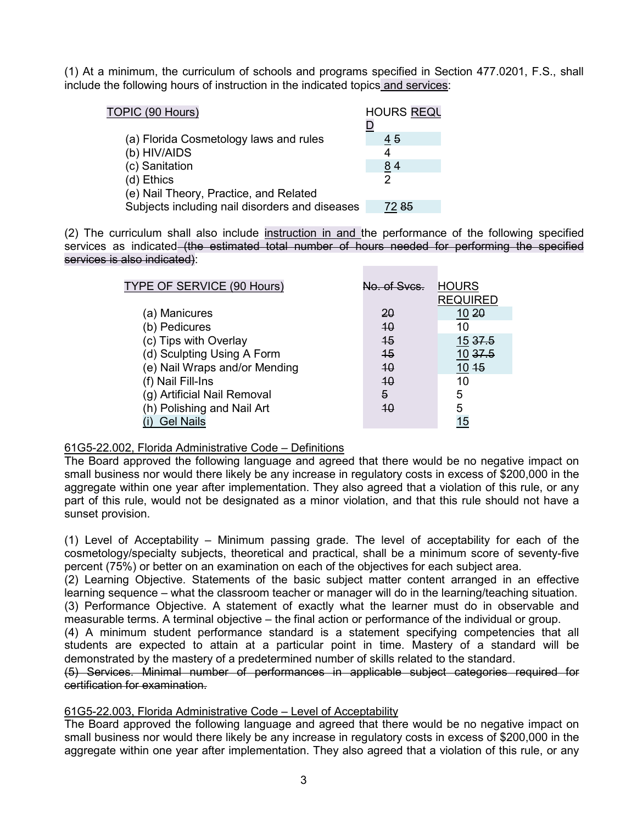(1) At a minimum, the curriculum of schools and programs specified in Section 477.0201, F.S., shall include the following hours of instruction in the indicated topics and services:

| TOPIC (90 Hours)                               | <b>HOURS REQL</b> |
|------------------------------------------------|-------------------|
|                                                |                   |
| (a) Florida Cosmetology laws and rules         | 45                |
| (b) HIV/AIDS                                   | 4                 |
| (c) Sanitation                                 | 84                |
| (d) Ethics                                     | 2                 |
| (e) Nail Theory, Practice, and Related         |                   |
| Subjects including nail disorders and diseases | 72 85             |

(2) The curriculum shall also include instruction in and the performance of the following specified services as indicated (the estimated total number of hours needed for performing the specified services is also indicated):

| TYPE OF SERVICE (90 Hours)    | $\alpha$ of Syce | <b>HOURS</b>     |
|-------------------------------|------------------|------------------|
|                               |                  | <b>REQUIRED</b>  |
| (a) Manicures                 | <b>20</b>        | 10 <sup>20</sup> |
| (b) Pedicures                 | 40               | 10               |
| (c) Tips with Overlay         | $\overline{45}$  | 15 37.5          |
| (d) Sculpting Using A Form    | $\overline{45}$  | 10 37.5          |
| (e) Nail Wraps and/or Mending | 40               | $10 + 5$         |
| (f) Nail Fill-Ins             | 40               | 10               |
| (g) Artificial Nail Removal   | 5                | 5                |
| (h) Polishing and Nail Art    | 40               | 5                |
| <b>Gel Nails</b>              |                  | 15               |

### 61G5-22.002, Florida Administrative Code – Definitions

The Board approved the following language and agreed that there would be no negative impact on small business nor would there likely be any increase in regulatory costs in excess of \$200,000 in the aggregate within one year after implementation. They also agreed that a violation of this rule, or any part of this rule, would not be designated as a minor violation, and that this rule should not have a sunset provision.

(1) Level of Acceptability – Minimum passing grade. The level of acceptability for each of the cosmetology/specialty subjects, theoretical and practical, shall be a minimum score of seventy-five percent (75%) or better on an examination on each of the objectives for each subject area.

(2) Learning Objective. Statements of the basic subject matter content arranged in an effective learning sequence – what the classroom teacher or manager will do in the learning/teaching situation.

(3) Performance Objective. A statement of exactly what the learner must do in observable and measurable terms. A terminal objective – the final action or performance of the individual or group.

(4) A minimum student performance standard is a statement specifying competencies that all students are expected to attain at a particular point in time. Mastery of a standard will be demonstrated by the mastery of a predetermined number of skills related to the standard.

(5) Services. Minimal number of performances in applicable subject categories required for certification for examination.

#### 61G5-22.003, Florida Administrative Code – Level of Acceptability

The Board approved the following language and agreed that there would be no negative impact on small business nor would there likely be any increase in regulatory costs in excess of \$200,000 in the aggregate within one year after implementation. They also agreed that a violation of this rule, or any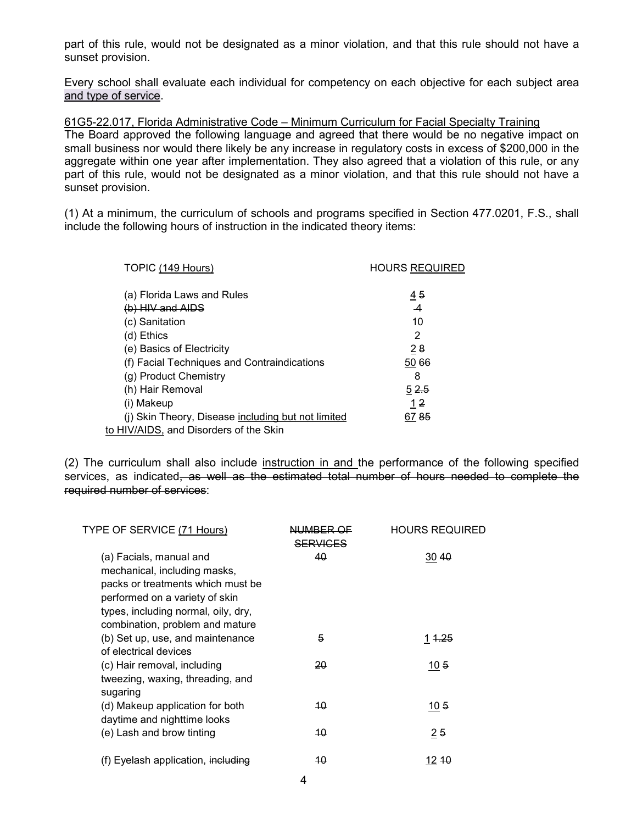part of this rule, would not be designated as a minor violation, and that this rule should not have a sunset provision.

Every school shall evaluate each individual for competency on each objective for each subject area and type of service.

61G5-22.017, Florida Administrative Code – Minimum Curriculum for Facial Specialty Training The Board approved the following language and agreed that there would be no negative impact on small business nor would there likely be any increase in regulatory costs in excess of \$200,000 in the aggregate within one year after implementation. They also agreed that a violation of this rule, or any part of this rule, would not be designated as a minor violation, and that this rule should not have a sunset provision.

(1) At a minimum, the curriculum of schools and programs specified in Section 477.0201, F.S., shall include the following hours of instruction in the indicated theory items:

| TOPIC (149 Hours)                                  | <b>HOURS REQUIRED</b> |
|----------------------------------------------------|-----------------------|
|                                                    |                       |
| (a) Florida Laws and Rules                         | $\overline{45}$       |
| $(b)$ HIV and AIDS                                 | $\overline{A}$        |
| (c) Sanitation                                     | 10                    |
| (d) Ethics                                         | 2                     |
| (e) Basics of Electricity                          | 28                    |
| (f) Facial Techniques and Contraindications        | 50 66                 |
| (g) Product Chemistry                              | 8                     |
| (h) Hair Removal                                   | 52.5                  |
| (i) Makeup                                         | 1 <sub>2</sub>        |
| (i) Skin Theory, Disease including but not limited | 6785                  |
| to HIV/AIDS, and Disorders of the Skin             |                       |

(2) The curriculum shall also include instruction in and the performance of the following specified services, as indicated<del>, as well as the estimated total number of hours needed to complete the</del> required number of services:

| TYPE OF SERVICE (71 Hours)          | NUMBER OF       | <b>HOURS REQUIRED</b> |
|-------------------------------------|-----------------|-----------------------|
|                                     | <b>SERVICES</b> |                       |
| (a) Facials, manual and             | 40              | 30 40                 |
| mechanical, including masks,        |                 |                       |
| packs or treatments which must be   |                 |                       |
| performed on a variety of skin      |                 |                       |
| types, including normal, oily, dry, |                 |                       |
| combination, problem and mature     |                 |                       |
| (b) Set up, use, and maintenance    | 5               | 1 <del>1.25</del>     |
| of electrical devices               |                 |                       |
| (c) Hair removal, including         | 20              | 105                   |
| tweezing, waxing, threading, and    |                 |                       |
| sugaring                            |                 |                       |
| (d) Makeup application for both     | 40              | 105                   |
| daytime and nighttime looks         |                 |                       |
| (e) Lash and brow tinting           | 40              | 25                    |
| (f) Eyelash application, including  | 40              | 12 10                 |
|                                     |                 |                       |